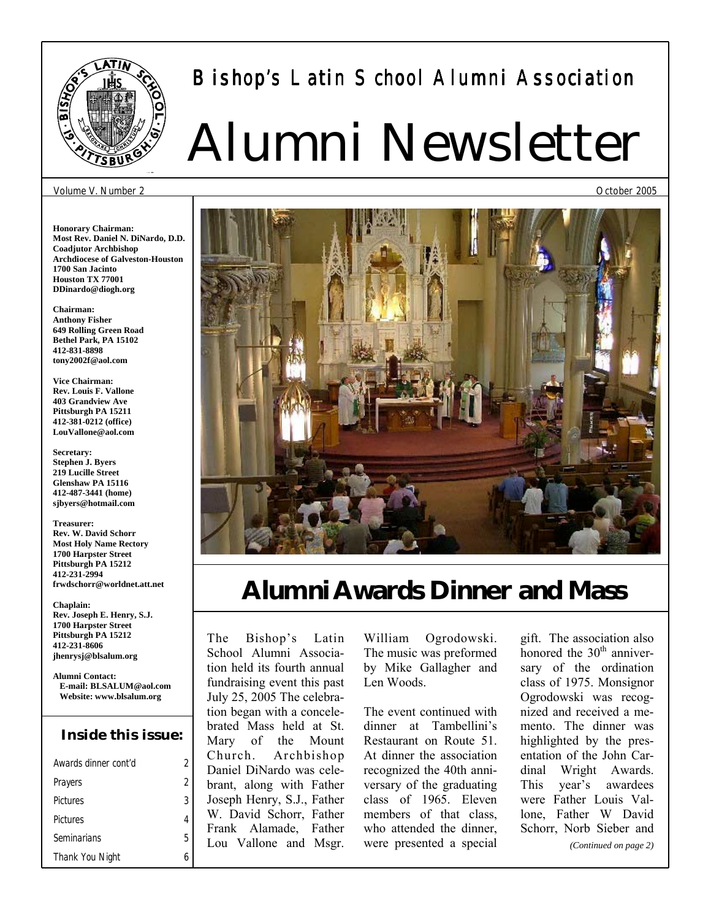

# Bishop's Latin School Alumni Association

# Alumni Newsletter

#### Volume V. Number 2

**Honorary Chairman: Most Rev. Daniel N. DiNardo, D.D. Coadjutor Archbishop Archdiocese of Galveston-Houston 1700 San Jacinto Houston TX 77001 DDinardo@diogh.org** 

**Chairman: Anthony Fisher 649 Rolling Green Road Bethel Park, PA 15102 412-831-8898 tony2002f@aol.com** 

**Vice Chairman: Rev. Louis F. Vallone 403 Grandview Ave Pittsburgh PA 15211 412-381-0212 (office) LouVallone@aol.com** 

**Secretary: Stephen J. Byers 219 Lucille Street Glenshaw PA 15116 412-487-3441 (home) sjbyers@hotmail.com** 

**Treasurer: Rev. W. David Schorr Most Holy Name Rectory 1700 Harpster Street Pittsburgh PA 15212 412-231-2994 frwdschorr@worldnet.att.net** 

**Chaplain: Rev. Joseph E. Henry, S.J. 1700 Harpster Street Pittsburgh PA 15212 412-231-8606 jhenrysj@blsalum.org** 

**Alumni Contact: E-mail: BLSALUM@aol.com Website: www.blsalum.org** 

### **Inside this issue:**

| Awards dinner cont'd | 2 |
|----------------------|---|
| Prayers              | 2 |
| Pictures             | 3 |
| Pictures             | 4 |
| Seminarians          | 5 |
| Thank You Night      |   |

# **Alumni Awards Dinner and Mass**

The Bishop's Latin School Alumni Association held its fourth annual fundraising event this past July 25, 2005 The celebration began with a concelebrated Mass held at St. Mary of the Mount Church. Archbishop Daniel DiNardo was celebrant, along with Father Joseph Henry, S.J., Father W. David Schorr, Father Frank Alamade, Father Lou Vallone and Msgr.

William Ogrodowski. The music was preformed by Mike Gallagher and Len Woods.

The event continued with dinner at Tambellini's Restaurant on Route 51. At dinner the association recognized the 40th anniversary of the graduating class of 1965. Eleven members of that class, who attended the dinner, were presented a special

gift. The association also honored the 30<sup>th</sup> anniversary of the ordination class of 1975. Monsignor Ogrodowski was recognized and received a memento. The dinner was highlighted by the presentation of the John Cardinal Wright Awards. This year's awardees were Father Louis Vallone, Father W David Schorr, Norb Sieber and

*(Continued on page 2)* 

October 2005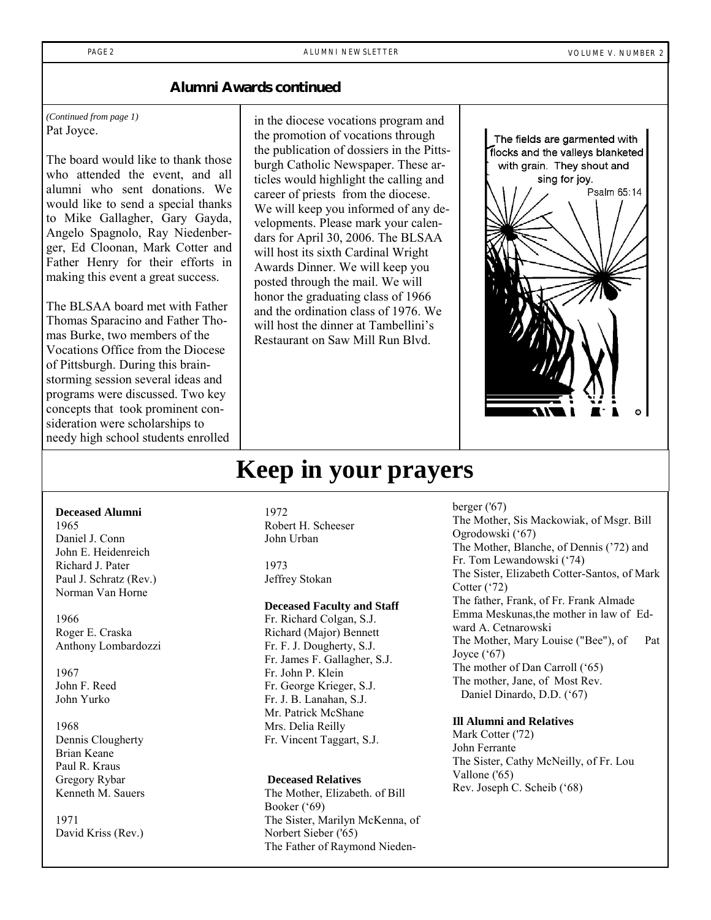PAGE 2 ALUMNI NEWSLETTER AND RESERVE AND RESERVE THE VOLUME V. NUMBER 2

Psalm 65:14

The fields are garmented with flocks and the valleys blanketed with grain. They shout and sing for joy.

### **Alumni Awards continued**

*(Continued from page 1)*  Pat Joyce.

The board would like to thank those who attended the event, and all alumni who sent donations. We would like to send a special thanks to Mike Gallagher, Gary Gayda, Angelo Spagnolo, Ray Niedenberger, Ed Cloonan, Mark Cotter and Father Henry for their efforts in making this event a great success.

The BLSAA board met with Father Thomas Sparacino and Father Thomas Burke, two members of the Vocations Office from the Diocese of Pittsburgh. During this brainstorming session several ideas and programs were discussed. Two key concepts that took prominent consideration were scholarships to needy high school students enrolled

in the diocese vocations program and the promotion of vocations through the publication of dossiers in the Pittsburgh Catholic Newspaper. These articles would highlight the calling and career of priests from the diocese. We will keep you informed of any developments. Please mark your calendars for April 30, 2006. The BLSAA will host its sixth Cardinal Wright Awards Dinner. We will keep you posted through the mail. We will honor the graduating class of 1966 and the ordination class of 1976. We will host the dinner at Tambellini's Restaurant on Saw Mill Run Blvd.

### **Keep in your prayers**

#### **Deceased Alumni**

1965 Daniel J. Conn John E. Heidenreich Richard J. Pater Paul J. Schratz (Rev.) Norman Van Horne

1966 Roger E. Craska Anthony Lombardozzi

1967 John F. Reed John Yurko

1968

Dennis Clougherty Brian Keane Paul R. Kraus Gregory Rybar Kenneth M. Sauers

1971 David Kriss (Rev.)

1972 Robert H. Scheeser John Urban

1973 Jeffrey Stokan

#### **Deceased Faculty and Staff**

Fr. Richard Colgan, S.J. Richard (Major) Bennett Fr. F. J. Dougherty, S.J. Fr. James F. Gallagher, S.J. Fr. John P. Klein Fr. George Krieger, S.J. Fr. J. B. Lanahan, S.J. Mr. Patrick McShane Mrs. Delia Reilly Fr. Vincent Taggart, S.J.

#### **Deceased Relatives**

The Mother, Elizabeth. of Bill Booker  $(69)$ The Sister, Marilyn McKenna, of Norbert Sieber ('65) The Father of Raymond Niedenberger ('67) The Mother, Sis Mackowiak, of Msgr. Bill Ogrodowski ('67) The Mother, Blanche, of Dennis ('72) and Fr. Tom Lewandowski ('74) The Sister, Elizabeth Cotter-Santos, of Mark Cotter  $(32)$ The father, Frank, of Fr. Frank Almade Emma Meskunas,the mother in law of Edward A. Cetnarowski The Mother, Mary Louise ("Bee"), of Pat Joyce  $(67)$ The mother of Dan Carroll ('65) The mother, Jane, of Most Rev. Daniel Dinardo, D.D. (67)

#### **Ill Alumni and Relatives**

Mark Cotter ('72) John Ferrante The Sister, Cathy McNeilly, of Fr. Lou Vallone ('65) Rev. Joseph C. Scheib ('68)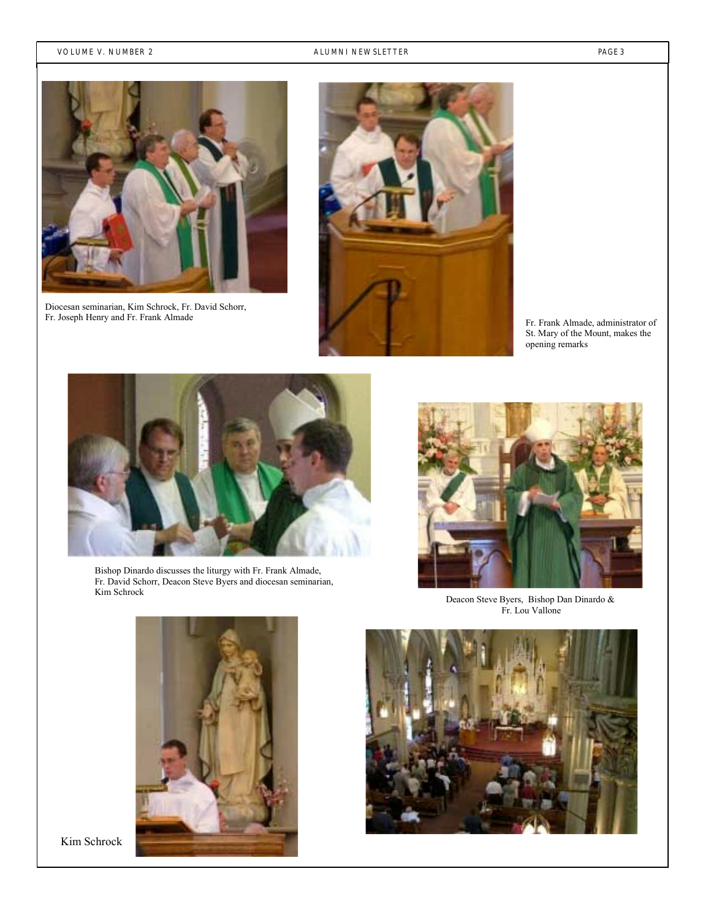#### VOLUME V. NUMBER 2 **ALUMNI NEWSLETTER PAGE 3**



Diocesan seminarian, Kim Schrock, Fr. David Schorr, Fr. Joseph Henry and Fr. Frank Almade



Fr. Frank Almade, administrator of St. Mary of the Mount, makes the opening remarks



Bishop Dinardo discusses the liturgy with Fr. Frank Almade, Fr. David Schorr, Deacon Steve Byers and diocesan seminarian, Kim Schrock



Deacon Steve Byers, Bishop Dan Dinardo & Fr. Lou Vallone



Kim Schrock

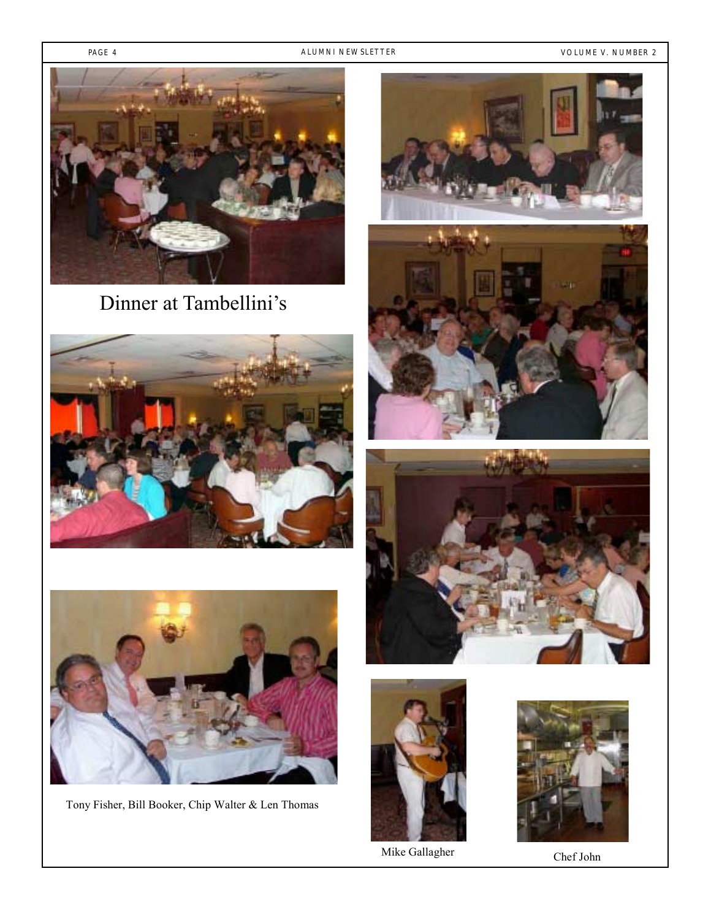PAGE 4 ALUMNI NEWSLETTER CONTROLLER AND VOLUME V. NUMBER 2



Dinner at Tambellini's





Tony Fisher, Bill Booker, Chip Walter & Len Thomas









Mike Gallagher Chef John

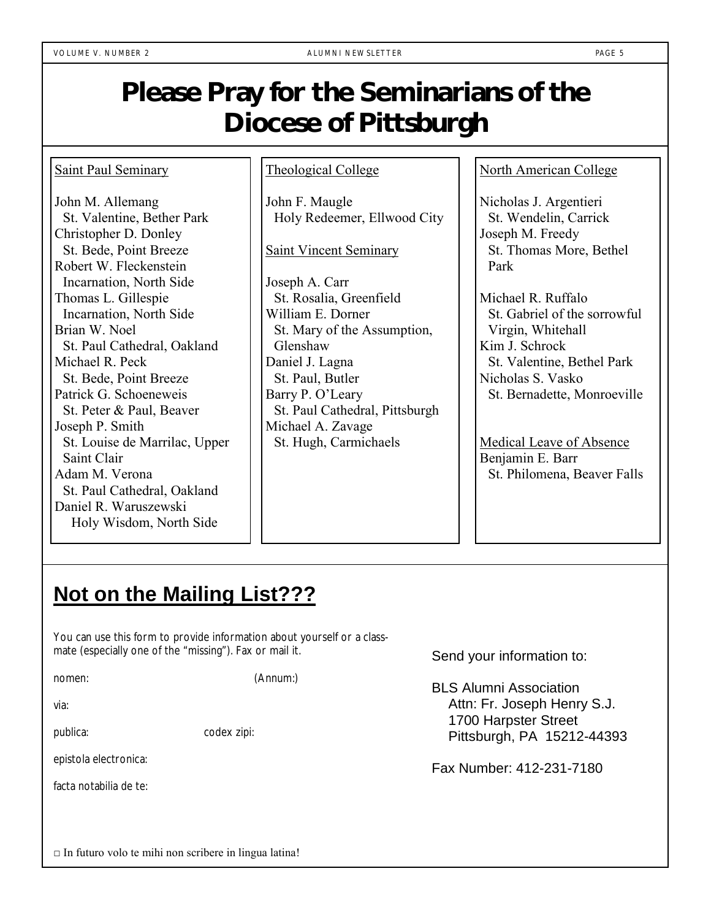## **Please Pray for the Seminarians of the Diocese of Pittsburgh**

### Saint Paul Seminary

John M. Allemang St. Valentine, Bether Park Christopher D. Donley St. Bede, Point Breeze Robert W. Fleckenstein Incarnation, North Side Thomas L. Gillespie Incarnation, North Side Brian W. Noel St. Paul Cathedral, Oakland Michael R. Peck St. Bede, Point Breeze Patrick G. Schoeneweis St. Peter & Paul, Beaver Joseph P. Smith St. Louise de Marrilac, Upper Saint Clair Adam M. Verona St. Paul Cathedral, Oakland Daniel R. Waruszewski Holy Wisdom, North Side

### Theological College

John F. Maugle Holy Redeemer, Ellwood City

Saint Vincent Seminary

Joseph A. Carr St. Rosalia, Greenfield William E. Dorner St. Mary of the Assumption, Glenshaw Daniel J. Lagna St. Paul, Butler Barry P. O'Leary St. Paul Cathedral, Pittsburgh Michael A. Zavage St. Hugh, Carmichaels

North American College

Nicholas J. Argentieri St. Wendelin, Carrick Joseph M. Freedy St. Thomas More, Bethel Park

Michael R. Ruffalo St. Gabriel of the sorrowful Virgin, Whitehall Kim J. Schrock St. Valentine, Bethel Park Nicholas S. Vasko St. Bernadette, Monroeville

Medical Leave of Absence Benjamin E. Barr St. Philomena, Beaver Falls

### **Not on the Mailing List???**

You can use this form to provide information about yourself or a classmate (especially one of the "missing"). Fax or mail it.

nomen: (Annum:)

via:

publica: codex zipi:

epistola electronica:

facta notabilia de te:

Send your information to:

BLS Alumni Association Attn: Fr. Joseph Henry S.J. 1700 Harpster Street Pittsburgh, PA 15212-44393

Fax Number: 412-231-7180

 $\Box$  In futuro volo te mihi non scribere in lingua latina!